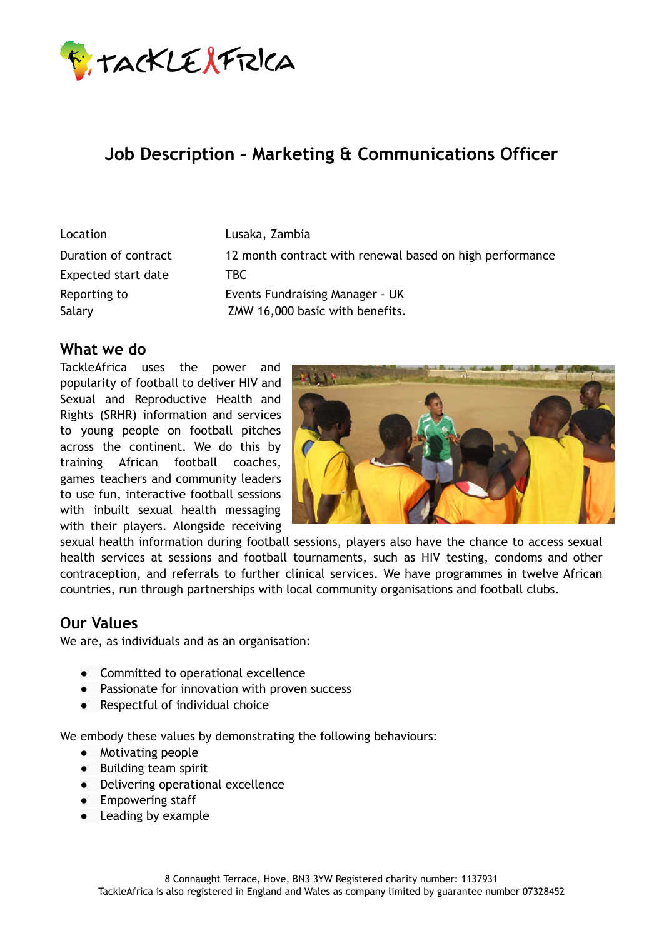

# **Job Description – Marketing & Communications Officer**

| Location             | Lusaka, Zambia                                           |
|----------------------|----------------------------------------------------------|
| Duration of contract | 12 month contract with renewal based on high performance |
| Expected start date  | TBC .                                                    |
| Reporting to         | <b>Events Fundraising Manager - UK</b>                   |
| Salary               | ZMW 16,000 basic with benefits.                          |

### **What we do**

TackleAfrica uses the power and popularity of football to deliver HIV and Sexual and Reproductive Health and Rights (SRHR) information and services to young people on football pitches across the continent. We do this by training African football coaches, games teachers and community leaders to use fun, interactive football sessions with inbuilt sexual health messaging with their players. Alongside receiving



sexual health information during football sessions, players also have the chance to access sexual health services at sessions and football tournaments, such as HIV testing, condoms and other contraception, and referrals to further clinical services. We have programmes in twelve African countries, run through partnerships with local community organisations and football clubs.

#### **Our Values**

We are, as individuals and as an organisation:

- Committed to operational excellence
- Passionate for innovation with proven success
- Respectful of individual choice

We embody these values by demonstrating the following behaviours:

- Motivating people
- Building team spirit
- Delivering operational excellence
- Empowering staff
- Leading by example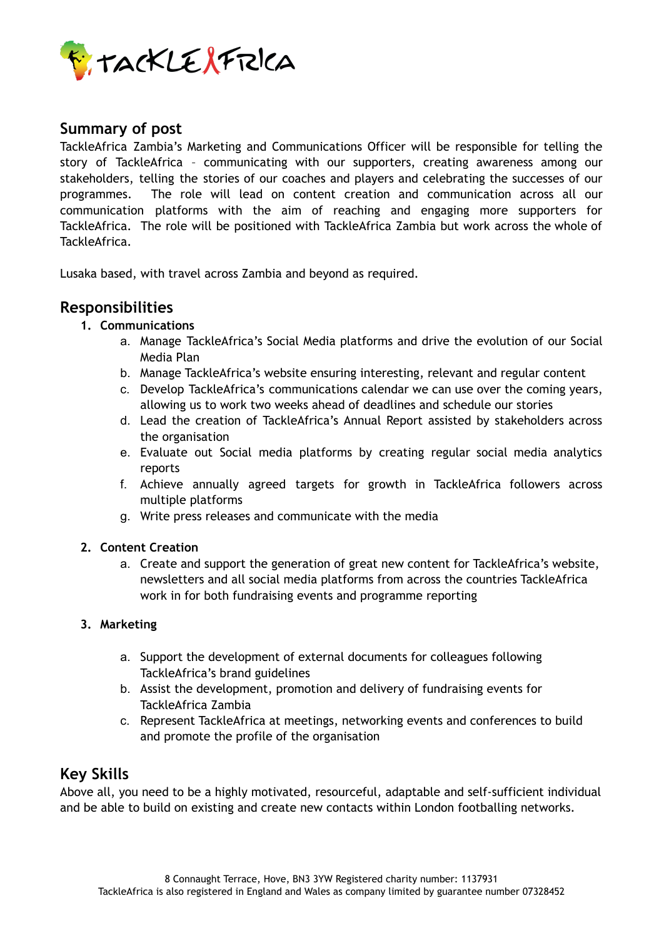

### **Summary of post**

TackleAfrica Zambia's Marketing and Communications Officer will be responsible for telling the story of TackleAfrica – communicating with our supporters, creating awareness among our stakeholders, telling the stories of our coaches and players and celebrating the successes of our programmes. The role will lead on content creation and communication across all our communication platforms with the aim of reaching and engaging more supporters for TackleAfrica. The role will be positioned with TackleAfrica Zambia but work across the whole of TackleAfrica.

Lusaka based, with travel across Zambia and beyond as required.

### **Responsibilities**

- **1. Communications**
	- a. Manage TackleAfrica's Social Media platforms and drive the evolution of our Social Media Plan
	- b. Manage TackleAfrica's website ensuring interesting, relevant and regular content
	- c. Develop TackleAfrica's communications calendar we can use over the coming years, allowing us to work two weeks ahead of deadlines and schedule our stories
	- d. Lead the creation of TackleAfrica's Annual Report assisted by stakeholders across the organisation
	- e. Evaluate out Social media platforms by creating regular social media analytics reports
	- f. Achieve annually agreed targets for growth in TackleAfrica followers across multiple platforms
	- g. Write press releases and communicate with the media

#### **2. Content Creation**

a. Create and support the generation of great new content for TackleAfrica's website, newsletters and all social media platforms from across the countries TackleAfrica work in for both fundraising events and programme reporting

#### **3. Marketing**

- a. Support the development of external documents for colleagues following TackleAfrica's brand guidelines
- b. Assist the development, promotion and delivery of fundraising events for TackleAfrica Zambia
- c. Represent TackleAfrica at meetings, networking events and conferences to build and promote the profile of the organisation

### **Key Skills**

Above all, you need to be a highly motivated, resourceful, adaptable and self-sufficient individual and be able to build on existing and create new contacts within London footballing networks.